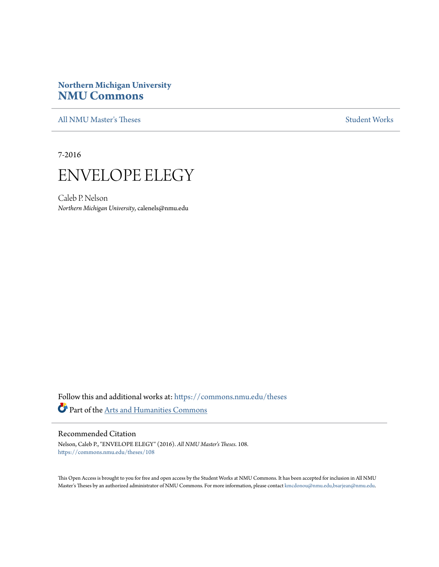# **Northern Michigan University [NMU Commons](https://commons.nmu.edu?utm_source=commons.nmu.edu%2Ftheses%2F108&utm_medium=PDF&utm_campaign=PDFCoverPages)**

[All NMU Master's Theses](https://commons.nmu.edu/theses?utm_source=commons.nmu.edu%2Ftheses%2F108&utm_medium=PDF&utm_campaign=PDFCoverPages) [Student Works](https://commons.nmu.edu/student_works?utm_source=commons.nmu.edu%2Ftheses%2F108&utm_medium=PDF&utm_campaign=PDFCoverPages)

7-2016



Caleb P. Nelson *Northern Michigan University*, calenels@nmu.edu

Follow this and additional works at: [https://commons.nmu.edu/theses](https://commons.nmu.edu/theses?utm_source=commons.nmu.edu%2Ftheses%2F108&utm_medium=PDF&utm_campaign=PDFCoverPages) Part of the [Arts and Humanities Commons](http://network.bepress.com/hgg/discipline/438?utm_source=commons.nmu.edu%2Ftheses%2F108&utm_medium=PDF&utm_campaign=PDFCoverPages)

#### Recommended Citation

Nelson, Caleb P., "ENVELOPE ELEGY" (2016). *All NMU Master's Theses*. 108. [https://commons.nmu.edu/theses/108](https://commons.nmu.edu/theses/108?utm_source=commons.nmu.edu%2Ftheses%2F108&utm_medium=PDF&utm_campaign=PDFCoverPages)

This Open Access is brought to you for free and open access by the Student Works at NMU Commons. It has been accepted for inclusion in All NMU Master's Theses by an authorized administrator of NMU Commons. For more information, please contact [kmcdonou@nmu.edu,bsarjean@nmu.edu.](mailto:kmcdonou@nmu.edu,bsarjean@nmu.edu)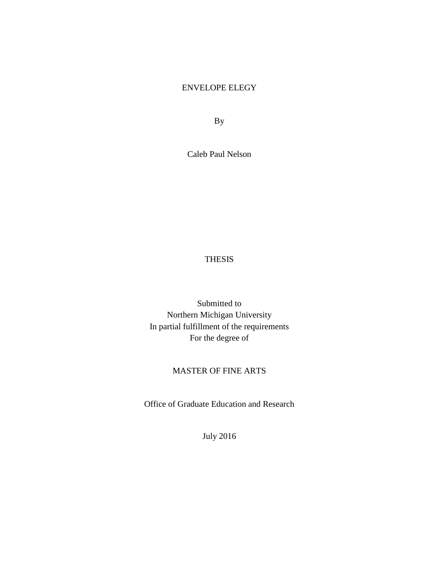# ENVELOPE ELEGY

By

Caleb Paul Nelson

# THESIS

Submitted to Northern Michigan University In partial fulfillment of the requirements For the degree of

# MASTER OF FINE ARTS

Office of Graduate Education and Research

July 2016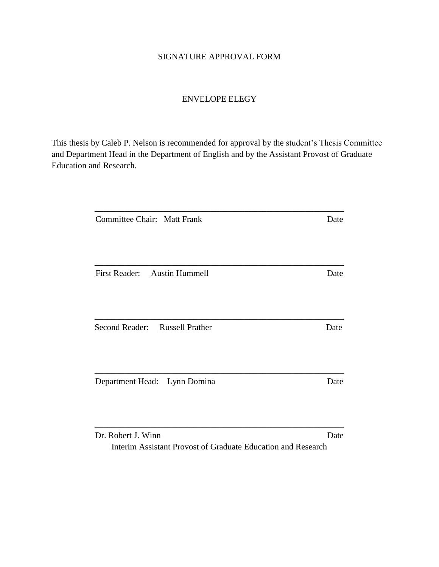# SIGNATURE APPROVAL FORM

# ENVELOPE ELEGY

This thesis by Caleb P. Nelson is recommended for approval by the student's Thesis Committee and Department Head in the Department of English and by the Assistant Provost of Graduate Education and Research.

| Committee Chair: Matt Frank                   | Date |
|-----------------------------------------------|------|
|                                               |      |
| <b>Austin Hummell</b><br><b>First Reader:</b> | Date |
| Second Reader: Russell Prather                | Date |
| Department Head: Lynn Domina                  | Date |
| Dr. Robert J. Winn                            | Date |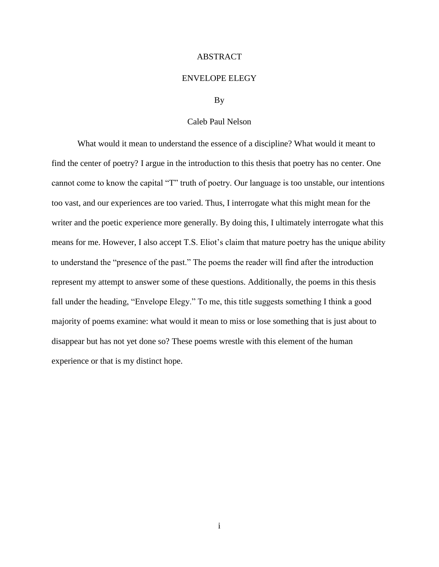#### ABSTRACT

#### ENVELOPE ELEGY

#### By

#### Caleb Paul Nelson

What would it mean to understand the essence of a discipline? What would it meant to find the center of poetry? I argue in the introduction to this thesis that poetry has no center. One cannot come to know the capital "T" truth of poetry. Our language is too unstable, our intentions too vast, and our experiences are too varied. Thus, I interrogate what this might mean for the writer and the poetic experience more generally. By doing this, I ultimately interrogate what this means for me. However, I also accept T.S. Eliot's claim that mature poetry has the unique ability to understand the "presence of the past." The poems the reader will find after the introduction represent my attempt to answer some of these questions. Additionally, the poems in this thesis fall under the heading, "Envelope Elegy." To me, this title suggests something I think a good majority of poems examine: what would it mean to miss or lose something that is just about to disappear but has not yet done so? These poems wrestle with this element of the human experience or that is my distinct hope.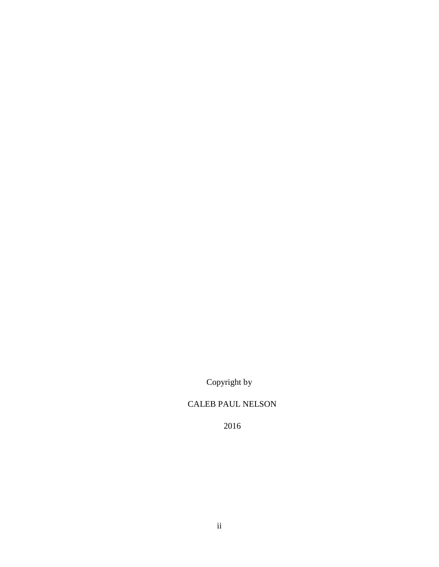Copyright by

# CALEB PAUL NELSON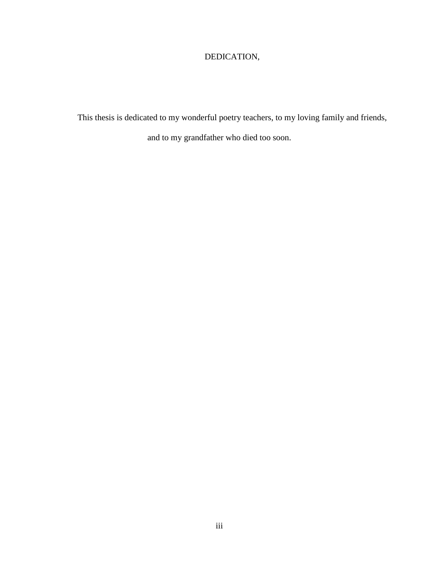# DEDICATION,

This thesis is dedicated to my wonderful poetry teachers, to my loving family and friends,

and to my grandfather who died too soon.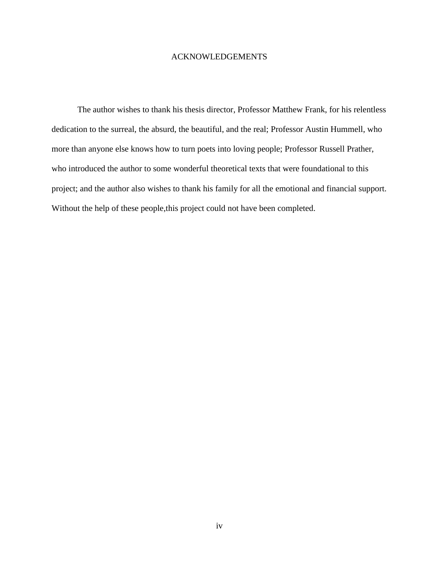## ACKNOWLEDGEMENTS

The author wishes to thank his thesis director, Professor Matthew Frank, for his relentless dedication to the surreal, the absurd, the beautiful, and the real; Professor Austin Hummell, who more than anyone else knows how to turn poets into loving people; Professor Russell Prather, who introduced the author to some wonderful theoretical texts that were foundational to this project; and the author also wishes to thank his family for all the emotional and financial support. Without the help of these people,this project could not have been completed.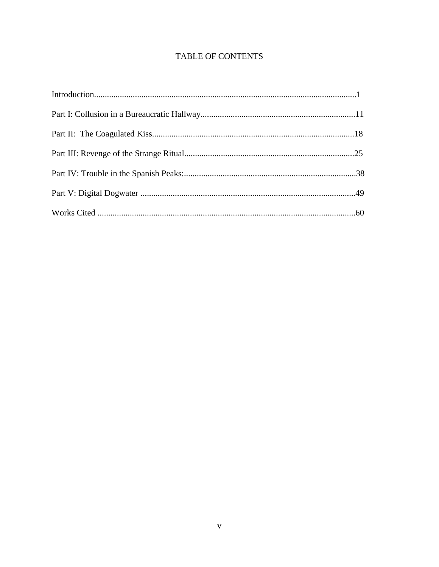# **TABLE OF CONTENTS**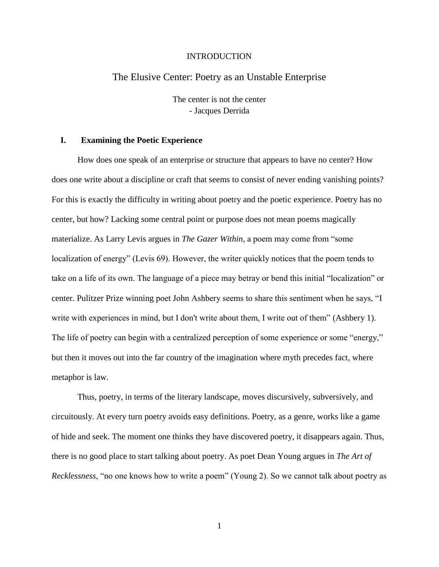#### INTRODUCTION

## The Elusive Center: Poetry as an Unstable Enterprise

The center is not the center - Jacques Derrida

#### **I. Examining the Poetic Experience**

How does one speak of an enterprise or structure that appears to have no center? How does one write about a discipline or craft that seems to consist of never ending vanishing points? For this is exactly the difficulty in writing about poetry and the poetic experience. Poetry has no center, but how? Lacking some central point or purpose does not mean poems magically materialize. As Larry Levis argues in *The Gazer Within*, a poem may come from "some localization of energy" (Levis 69). However, the writer quickly notices that the poem tends to take on a life of its own. The language of a piece may betray or bend this initial "localization" or center. Pulitzer Prize winning poet John Ashbery seems to share this sentiment when he says, "I write with experiences in mind, but I don't write about them, I write out of them" (Ashbery 1). The life of poetry can begin with a centralized perception of some experience or some "energy," but then it moves out into the far country of the imagination where myth precedes fact, where metaphor is law.

Thus, poetry, in terms of the literary landscape, moves discursively, subversively, and circuitously. At every turn poetry avoids easy definitions. Poetry, as a genre, works like a game of hide and seek. The moment one thinks they have discovered poetry, it disappears again. Thus, there is no good place to start talking about poetry. As poet Dean Young argues in *The Art of Recklessness*, "no one knows how to write a poem" (Young 2). So we cannot talk about poetry as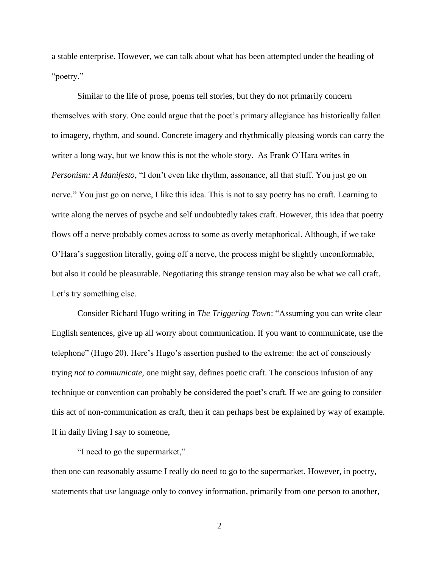a stable enterprise. However, we can talk about what has been attempted under the heading of "poetry."

Similar to the life of prose, poems tell stories, but they do not primarily concern themselves with story. One could argue that the poet's primary allegiance has historically fallen to imagery, rhythm, and sound. Concrete imagery and rhythmically pleasing words can carry the writer a long way, but we know this is not the whole story. As Frank O'Hara writes in *Personism: A Manifesto*, "I don't even like rhythm, assonance, all that stuff. You just go on nerve." You just go on nerve, I like this idea. This is not to say poetry has no craft. Learning to write along the nerves of psyche and self undoubtedly takes craft. However, this idea that poetry flows off a nerve probably comes across to some as overly metaphorical. Although, if we take O'Hara's suggestion literally, going off a nerve, the process might be slightly unconformable, but also it could be pleasurable. Negotiating this strange tension may also be what we call craft. Let's try something else.

Consider Richard Hugo writing in *The Triggering Town*: "Assuming you can write clear English sentences, give up all worry about communication. If you want to communicate, use the telephone" (Hugo 20). Here's Hugo's assertion pushed to the extreme: the act of consciously trying *not to communicate,* one might say, defines poetic craft. The conscious infusion of any technique or convention can probably be considered the poet's craft. If we are going to consider this act of non-communication as craft, then it can perhaps best be explained by way of example. If in daily living I say to someone,

"I need to go the supermarket,"

then one can reasonably assume I really do need to go to the supermarket. However, in poetry, statements that use language only to convey information, primarily from one person to another,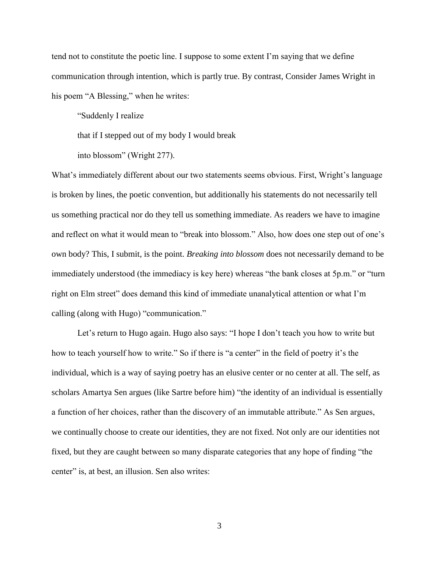tend not to constitute the poetic line. I suppose to some extent I'm saying that we define communication through intention, which is partly true. By contrast, Consider James Wright in his poem "A Blessing," when he writes:

"Suddenly I realize

that if I stepped out of my body I would break

into blossom" (Wright 277).

What's immediately different about our two statements seems obvious. First, Wright's language is broken by lines, the poetic convention, but additionally his statements do not necessarily tell us something practical nor do they tell us something immediate. As readers we have to imagine and reflect on what it would mean to "break into blossom." Also, how does one step out of one's own body? This, I submit, is the point. *Breaking into blossom* does not necessarily demand to be immediately understood (the immediacy is key here) whereas "the bank closes at 5p.m." or "turn right on Elm street" does demand this kind of immediate unanalytical attention or what I'm calling (along with Hugo) "communication."

Let's return to Hugo again. Hugo also says: "I hope I don't teach you how to write but how to teach yourself how to write." So if there is "a center" in the field of poetry it's the individual, which is a way of saying poetry has an elusive center or no center at all. The self, as scholars Amartya Sen argues (like Sartre before him) "the identity of an individual is essentially a function of her choices, rather than the discovery of an immutable attribute." As Sen argues, we continually choose to create our identities, they are not fixed. Not only are our identities not fixed, but they are caught between so many disparate categories that any hope of finding "the center" is, at best, an illusion. Sen also writes: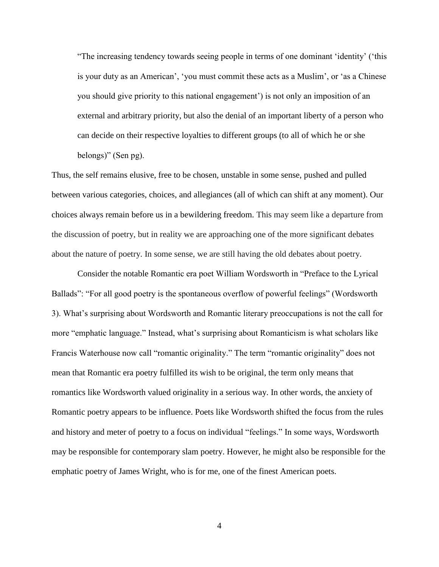"The increasing tendency towards seeing people in terms of one dominant 'identity' ('this is your duty as an American', 'you must commit these acts as a Muslim', or 'as a Chinese you should give priority to this national engagement') is not only an imposition of an external and arbitrary priority, but also the denial of an important liberty of a person who can decide on their respective loyalties to different groups (to all of which he or she belongs)" (Sen pg).

Thus, the self remains elusive, free to be chosen, unstable in some sense, pushed and pulled between various categories, choices, and allegiances (all of which can shift at any moment). Our choices always remain before us in a bewildering freedom. This may seem like a departure from the discussion of poetry, but in reality we are approaching one of the more significant debates about the nature of poetry. In some sense, we are still having the old debates about poetry.

 Consider the notable Romantic era poet William Wordsworth in "Preface to the Lyrical Ballads": "For all good poetry is the spontaneous overflow of powerful feelings" (Wordsworth 3). What's surprising about Wordsworth and Romantic literary preoccupations is not the call for more "emphatic language." Instead, what's surprising about Romanticism is what scholars like Francis Waterhouse now call "romantic originality." The term "romantic originality" does not mean that Romantic era poetry fulfilled its wish to be original, the term only means that romantics like Wordsworth valued originality in a serious way. In other words, the anxiety of Romantic poetry appears to be influence. Poets like Wordsworth shifted the focus from the rules and history and meter of poetry to a focus on individual "feelings." In some ways, Wordsworth may be responsible for contemporary slam poetry. However, he might also be responsible for the emphatic poetry of James Wright, who is for me, one of the finest American poets.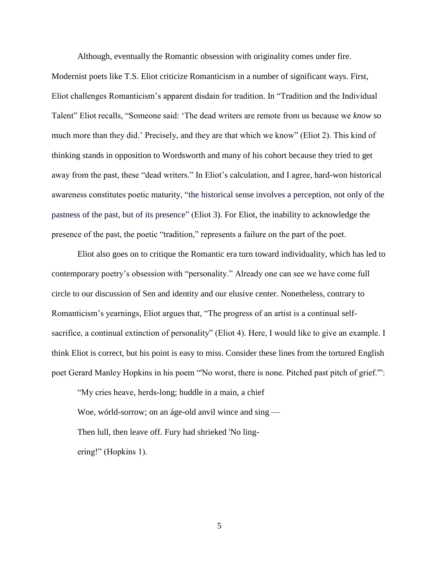Although, eventually the Romantic obsession with originality comes under fire.

Modernist poets like T.S. Eliot criticize Romanticism in a number of significant ways. First, Eliot challenges Romanticism's apparent disdain for tradition. In "Tradition and the Individual Talent" Eliot recalls, "Someone said: 'The dead writers are remote from us because we *know* so much more than they did.' Precisely, and they are that which we know" (Eliot 2). This kind of thinking stands in opposition to Wordsworth and many of his cohort because they tried to get away from the past, these "dead writers." In Eliot's calculation, and I agree, hard-won historical awareness constitutes poetic maturity, "the historical sense involves a perception, not only of the pastness of the past, but of its presence" (Eliot 3). For Eliot, the inability to acknowledge the presence of the past, the poetic "tradition," represents a failure on the part of the poet.

 Eliot also goes on to critique the Romantic era turn toward individuality, which has led to contemporary poetry's obsession with "personality." Already one can see we have come full circle to our discussion of Sen and identity and our elusive center. Nonetheless, contrary to Romanticism's yearnings, Eliot argues that, "The progress of an artist is a continual selfsacrifice, a continual extinction of personality" (Eliot 4). Here, I would like to give an example. I think Eliot is correct, but his point is easy to miss. Consider these lines from the tortured English poet Gerard Manley Hopkins in his poem "'No worst, there is none. Pitched past pitch of grief.'":

"My cries heave, herds-long; huddle in a main, a chief Woe, wórld-sorrow; on an áge-old anvil wince and sing — Then lull, then leave off. Fury had shrieked 'No lingering!" (Hopkins 1).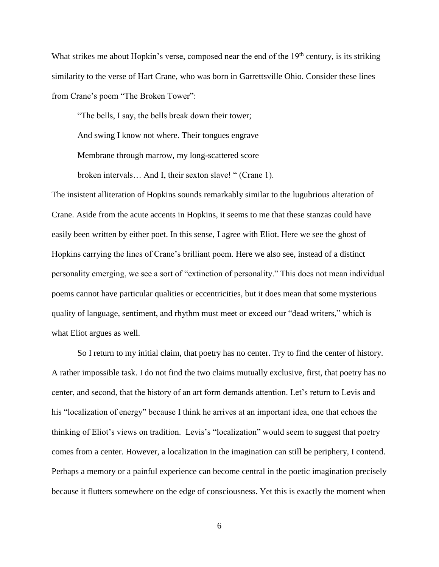What strikes me about Hopkin's verse, composed near the end of the  $19<sup>th</sup>$  century, is its striking similarity to the verse of Hart Crane, who was born in Garrettsville Ohio. Consider these lines from Crane's poem "The Broken Tower":

"The bells, I say, the bells break down their tower; And swing I know not where. Their tongues engrave Membrane through marrow, my long-scattered score broken intervals… And I, their sexton slave! " (Crane 1).

The insistent alliteration of Hopkins sounds remarkably similar to the lugubrious alteration of Crane. Aside from the acute accents in Hopkins, it seems to me that these stanzas could have easily been written by either poet. In this sense, I agree with Eliot. Here we see the ghost of Hopkins carrying the lines of Crane's brilliant poem. Here we also see, instead of a distinct personality emerging, we see a sort of "extinction of personality." This does not mean individual poems cannot have particular qualities or eccentricities, but it does mean that some mysterious quality of language, sentiment, and rhythm must meet or exceed our "dead writers," which is what Eliot argues as well.

So I return to my initial claim, that poetry has no center. Try to find the center of history. A rather impossible task. I do not find the two claims mutually exclusive, first, that poetry has no center, and second, that the history of an art form demands attention. Let's return to Levis and his "localization of energy" because I think he arrives at an important idea, one that echoes the thinking of Eliot's views on tradition. Levis's "localization" would seem to suggest that poetry comes from a center. However, a localization in the imagination can still be periphery, I contend. Perhaps a memory or a painful experience can become central in the poetic imagination precisely because it flutters somewhere on the edge of consciousness. Yet this is exactly the moment when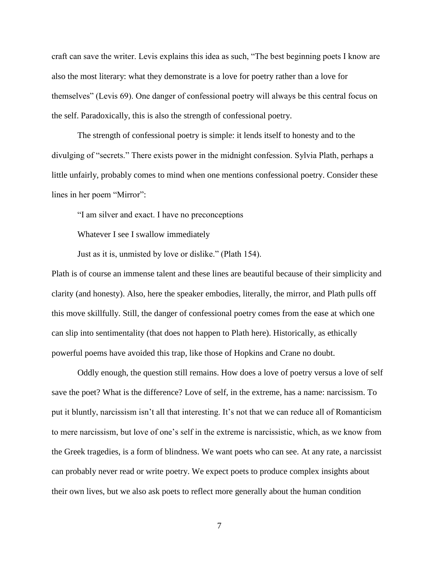craft can save the writer. Levis explains this idea as such, "The best beginning poets I know are also the most literary: what they demonstrate is a love for poetry rather than a love for themselves" (Levis 69). One danger of confessional poetry will always be this central focus on the self. Paradoxically, this is also the strength of confessional poetry.

The strength of confessional poetry is simple: it lends itself to honesty and to the divulging of "secrets." There exists power in the midnight confession. Sylvia Plath, perhaps a little unfairly, probably comes to mind when one mentions confessional poetry. Consider these lines in her poem "Mirror":

"I am silver and exact. I have no preconceptions

Whatever I see I swallow immediately

Just as it is, unmisted by love or dislike." (Plath 154).

Plath is of course an immense talent and these lines are beautiful because of their simplicity and clarity (and honesty). Also, here the speaker embodies, literally, the mirror, and Plath pulls off this move skillfully. Still, the danger of confessional poetry comes from the ease at which one can slip into sentimentality (that does not happen to Plath here). Historically, as ethically powerful poems have avoided this trap, like those of Hopkins and Crane no doubt.

Oddly enough, the question still remains. How does a love of poetry versus a love of self save the poet? What is the difference? Love of self, in the extreme, has a name: narcissism. To put it bluntly, narcissism isn't all that interesting. It's not that we can reduce all of Romanticism to mere narcissism, but love of one's self in the extreme is narcissistic, which, as we know from the Greek tragedies, is a form of blindness. We want poets who can see. At any rate, a narcissist can probably never read or write poetry. We expect poets to produce complex insights about their own lives, but we also ask poets to reflect more generally about the human condition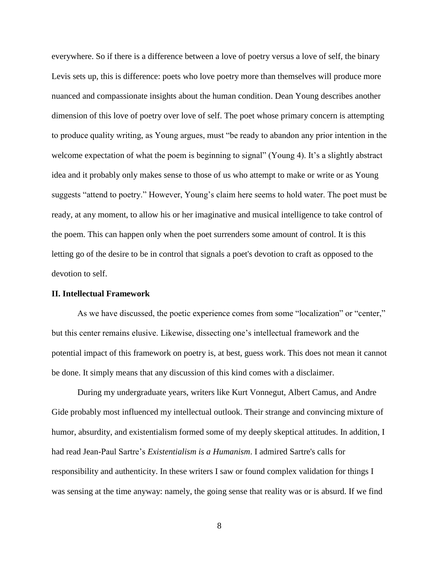everywhere. So if there is a difference between a love of poetry versus a love of self, the binary Levis sets up, this is difference: poets who love poetry more than themselves will produce more nuanced and compassionate insights about the human condition. Dean Young describes another dimension of this love of poetry over love of self. The poet whose primary concern is attempting to produce quality writing, as Young argues, must "be ready to abandon any prior intention in the welcome expectation of what the poem is beginning to signal" (Young 4). It's a slightly abstract idea and it probably only makes sense to those of us who attempt to make or write or as Young suggests "attend to poetry." However, Young's claim here seems to hold water. The poet must be ready, at any moment, to allow his or her imaginative and musical intelligence to take control of the poem. This can happen only when the poet surrenders some amount of control. It is this letting go of the desire to be in control that signals a poet's devotion to craft as opposed to the devotion to self.

#### **II. Intellectual Framework**

 As we have discussed, the poetic experience comes from some "localization" or "center," but this center remains elusive. Likewise, dissecting one's intellectual framework and the potential impact of this framework on poetry is, at best, guess work. This does not mean it cannot be done. It simply means that any discussion of this kind comes with a disclaimer.

 During my undergraduate years, writers like Kurt Vonnegut, Albert Camus, and Andre Gide probably most influenced my intellectual outlook. Their strange and convincing mixture of humor, absurdity, and existentialism formed some of my deeply skeptical attitudes. In addition, I had read Jean-Paul Sartre's *Existentialism is a Humanism*. I admired Sartre's calls for responsibility and authenticity. In these writers I saw or found complex validation for things I was sensing at the time anyway: namely, the going sense that reality was or is absurd. If we find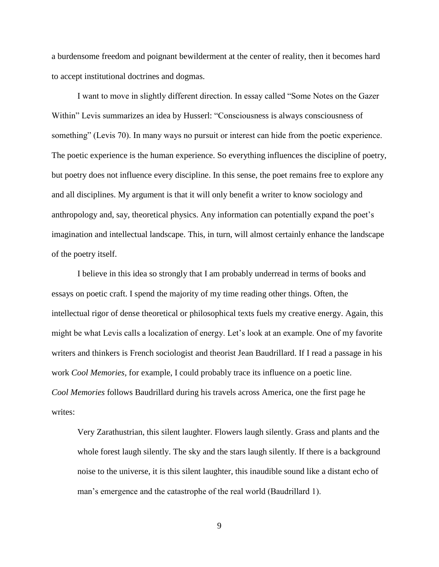a burdensome freedom and poignant bewilderment at the center of reality, then it becomes hard to accept institutional doctrines and dogmas.

 I want to move in slightly different direction. In essay called "Some Notes on the Gazer Within" Levis summarizes an idea by Husserl: "Consciousness is always consciousness of something" (Levis 70). In many ways no pursuit or interest can hide from the poetic experience. The poetic experience is the human experience. So everything influences the discipline of poetry, but poetry does not influence every discipline. In this sense, the poet remains free to explore any and all disciplines. My argument is that it will only benefit a writer to know sociology and anthropology and, say, theoretical physics. Any information can potentially expand the poet's imagination and intellectual landscape. This, in turn, will almost certainly enhance the landscape of the poetry itself.

I believe in this idea so strongly that I am probably underread in terms of books and essays on poetic craft. I spend the majority of my time reading other things. Often, the intellectual rigor of dense theoretical or philosophical texts fuels my creative energy. Again, this might be what Levis calls a localization of energy. Let's look at an example. One of my favorite writers and thinkers is French sociologist and theorist Jean Baudrillard. If I read a passage in his work *Cool Memories,* for example, I could probably trace its influence on a poetic line. *Cool Memories* follows Baudrillard during his travels across America, one the first page he writes:

Very Zarathustrian, this silent laughter. Flowers laugh silently. Grass and plants and the whole forest laugh silently. The sky and the stars laugh silently. If there is a background noise to the universe, it is this silent laughter, this inaudible sound like a distant echo of man's emergence and the catastrophe of the real world (Baudrillard 1).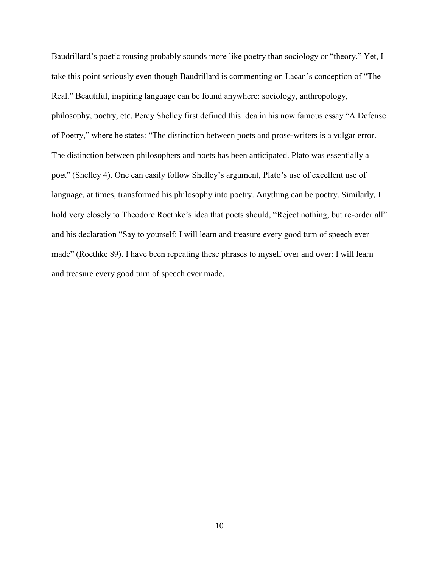Baudrillard's poetic rousing probably sounds more like poetry than sociology or "theory." Yet, I take this point seriously even though Baudrillard is commenting on Lacan's conception of "The Real." Beautiful, inspiring language can be found anywhere: sociology, anthropology, philosophy, poetry, etc. Percy Shelley first defined this idea in his now famous essay "A Defense of Poetry," where he states: "The distinction between poets and prose-writers is a vulgar error. The distinction between philosophers and poets has been anticipated. Plato was essentially a poet" (Shelley 4). One can easily follow Shelley's argument, Plato's use of excellent use of language, at times, transformed his philosophy into poetry. Anything can be poetry. Similarly, I hold very closely to Theodore Roethke's idea that poets should, "Reject nothing, but re-order all" and his declaration "Say to yourself: I will learn and treasure every good turn of speech ever made" (Roethke 89). I have been repeating these phrases to myself over and over: I will learn and treasure every good turn of speech ever made.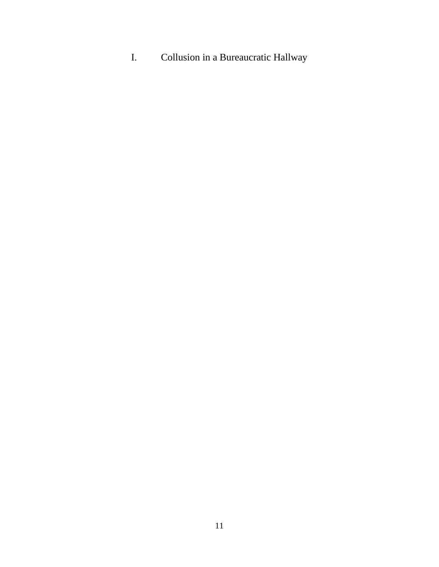I. Collusion in a Bureaucratic Hallway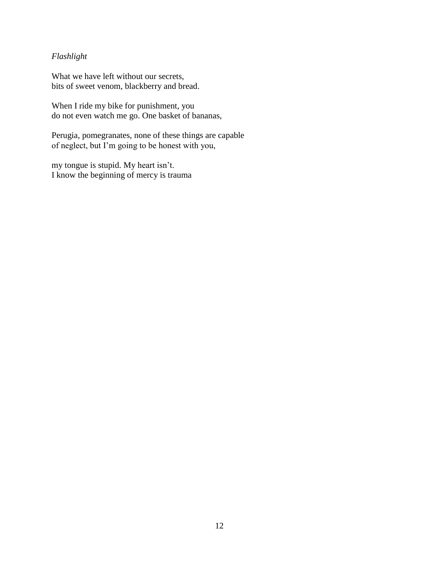# *Flashlight*

What we have left without our secrets, bits of sweet venom, blackberry and bread.

When I ride my bike for punishment, you do not even watch me go. One basket of bananas,

Perugia, pomegranates, none of these things are capable of neglect, but I'm going to be honest with you,

my tongue is stupid. My heart isn't. I know the beginning of mercy is trauma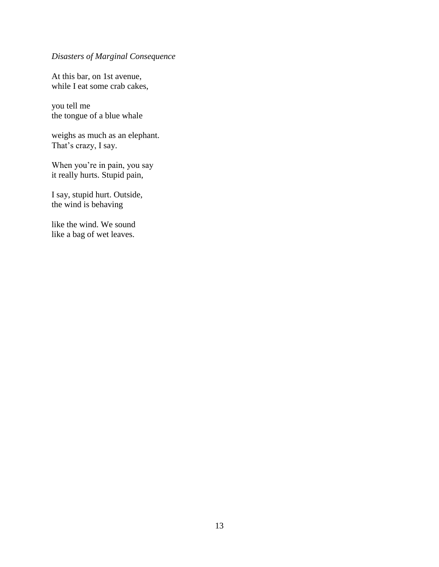# *Disasters of Marginal Consequence*

At this bar, on 1st avenue, while I eat some crab cakes,

you tell me the tongue of a blue whale

weighs as much as an elephant. That's crazy, I say.

When you're in pain, you say it really hurts. Stupid pain,

I say, stupid hurt. Outside, the wind is behaving

like the wind. We sound like a bag of wet leaves.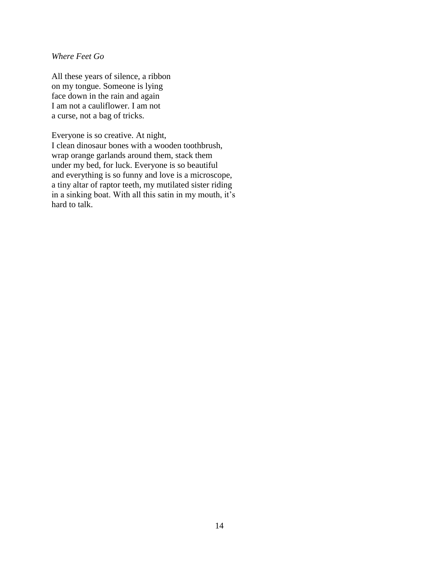*Where Feet Go*

All these years of silence, a ribbon on my tongue. Someone is lying face down in the rain and again I am not a cauliflower. I am not a curse, not a bag of tricks.

Everyone is so creative. At night, I clean dinosaur bones with a wooden toothbrush, wrap orange garlands around them, stack them under my bed, for luck. Everyone is so beautiful and everything is so funny and love is a microscope, a tiny altar of raptor teeth, my mutilated sister riding in a sinking boat. With all this satin in my mouth, it's hard to talk.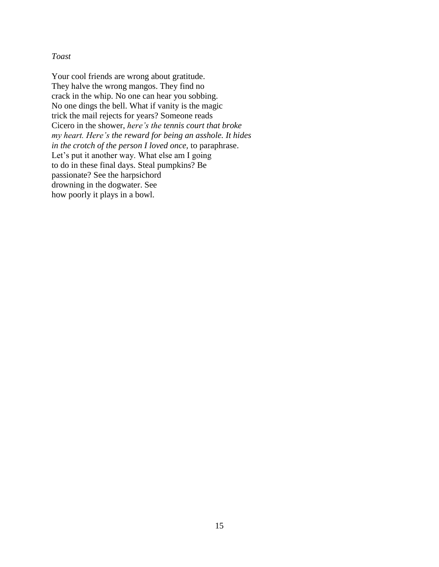## *Toast*

Your cool friends are wrong about gratitude. They halve the wrong mangos. They find no crack in the whip. No one can hear you sobbing. No one dings the bell. What if vanity is the magic trick the mail rejects for years? Someone reads Cicero in the shower, *here's the tennis court that broke my heart. Here's the reward for being an asshole. It hides in the crotch of the person I loved once,* to paraphrase. Let's put it another way. What else am I going to do in these final days. Steal pumpkins? Be passionate? See the harpsichord drowning in the dogwater. See how poorly it plays in a bowl.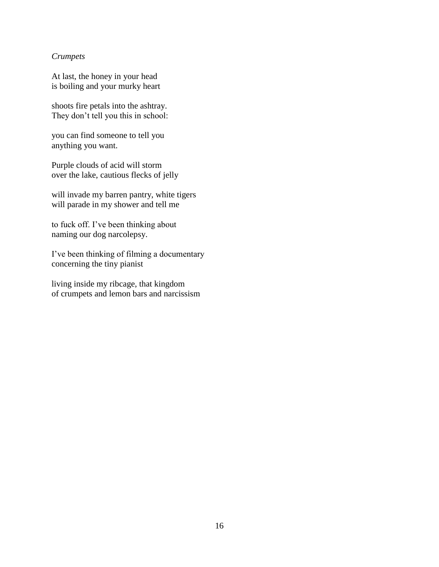# *Crumpets*

At last, the honey in your head is boiling and your murky heart

shoots fire petals into the ashtray. They don't tell you this in school:

you can find someone to tell you anything you want.

Purple clouds of acid will storm over the lake, cautious flecks of jelly

will invade my barren pantry, white tigers will parade in my shower and tell me

to fuck off. I've been thinking about naming our dog narcolepsy.

I've been thinking of filming a documentary concerning the tiny pianist

living inside my ribcage, that kingdom of crumpets and lemon bars and narcissism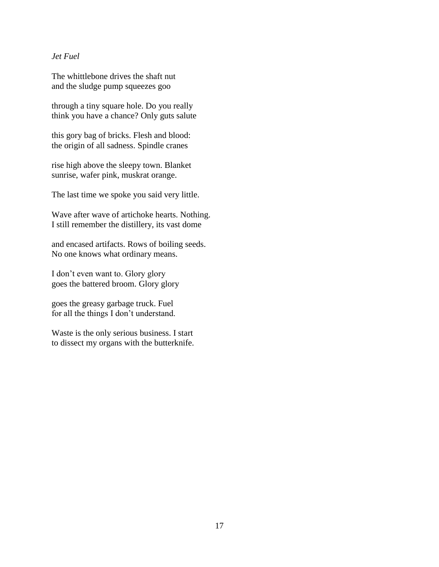# *Jet Fuel*

The whittlebone drives the shaft nut and the sludge pump squeezes goo

through a tiny square hole. Do you really think you have a chance? Only guts salute

this gory bag of bricks. Flesh and blood: the origin of all sadness. Spindle cranes

rise high above the sleepy town. Blanket sunrise, wafer pink, muskrat orange.

The last time we spoke you said very little.

Wave after wave of artichoke hearts. Nothing. I still remember the distillery, its vast dome

and encased artifacts. Rows of boiling seeds. No one knows what ordinary means.

I don't even want to. Glory glory goes the battered broom. Glory glory

goes the greasy garbage truck. Fuel for all the things I don't understand.

Waste is the only serious business. I start to dissect my organs with the butterknife.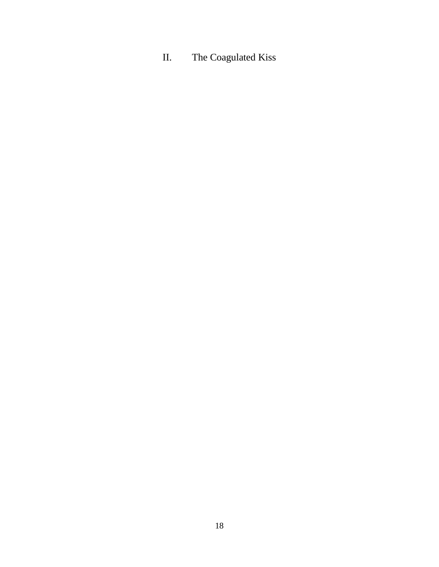# II. The Coagulated Kiss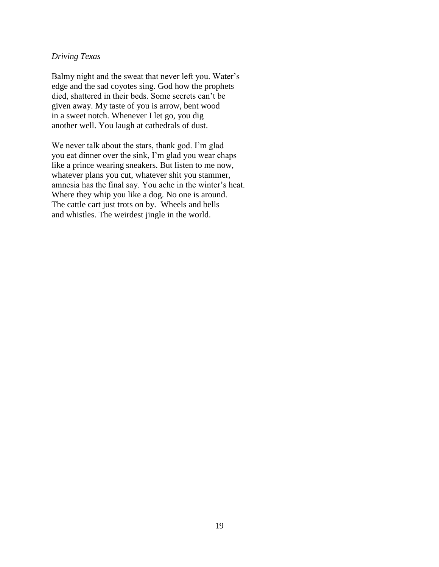# *Driving Texas*

Balmy night and the sweat that never left you. Water's edge and the sad coyotes sing. God how the prophets died, shattered in their beds. Some secrets can't be given away. My taste of you is arrow, bent wood in a sweet notch. Whenever I let go, you dig another well. You laugh at cathedrals of dust.

We never talk about the stars, thank god. I'm glad you eat dinner over the sink, I'm glad you wear chaps like a prince wearing sneakers. But listen to me now, whatever plans you cut, whatever shit you stammer, amnesia has the final say. You ache in the winter's heat. Where they whip you like a dog. No one is around. The cattle cart just trots on by. Wheels and bells and whistles. The weirdest jingle in the world.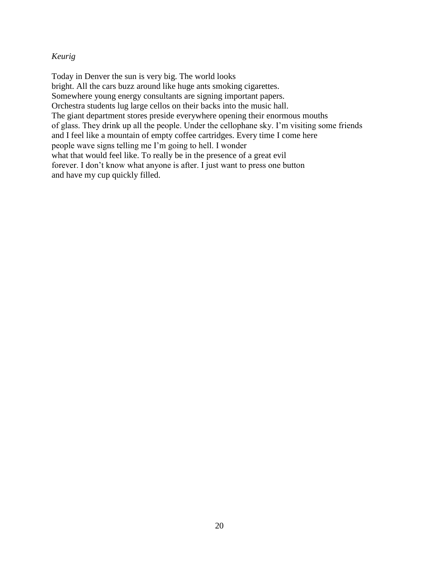# *Keurig*

Today in Denver the sun is very big. The world looks bright. All the cars buzz around like huge ants smoking cigarettes. Somewhere young energy consultants are signing important papers. Orchestra students lug large cellos on their backs into the music hall. The giant department stores preside everywhere opening their enormous mouths of glass. They drink up all the people. Under the cellophane sky. I'm visiting some friends and I feel like a mountain of empty coffee cartridges. Every time I come here people wave signs telling me I'm going to hell. I wonder what that would feel like. To really be in the presence of a great evil forever. I don't know what anyone is after. I just want to press one button and have my cup quickly filled.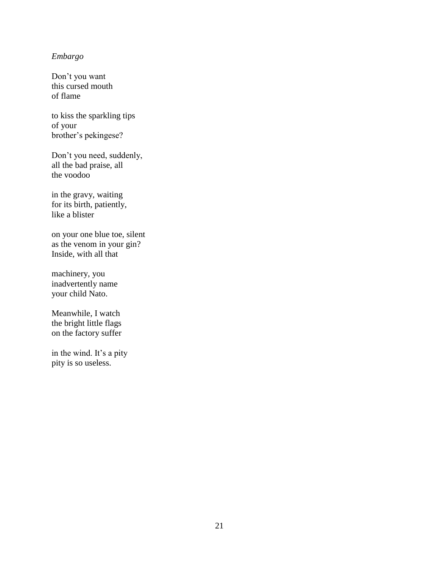# *Embargo*

Don't you want this cursed mouth of flame

to kiss the sparkling tips of your brother's pekingese?

Don't you need, suddenly, all the bad praise, all the voodoo

in the gravy, waiting for its birth, patiently, like a blister

on your one blue toe, silent as the venom in your gin? Inside, with all that

machinery, you inadvertently name your child Nato.

Meanwhile, I watch the bright little flags on the factory suffer

in the wind. It's a pity pity is so useless.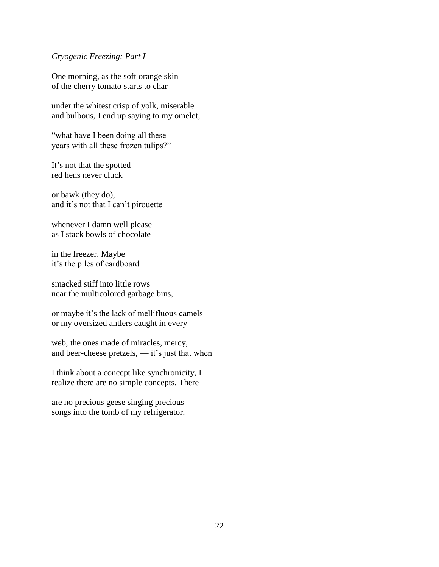## *Cryogenic Freezing: Part I*

One morning, as the soft orange skin of the cherry tomato starts to char

under the whitest crisp of yolk, miserable and bulbous, I end up saying to my omelet,

"what have I been doing all these years with all these frozen tulips?"

It's not that the spotted red hens never cluck

or bawk (they do), and it's not that I can't pirouette

whenever I damn well please as I stack bowls of chocolate

in the freezer. Maybe it's the piles of cardboard

smacked stiff into little rows near the multicolored garbage bins,

or maybe it's the lack of mellifluous camels or my oversized antlers caught in every

web, the ones made of miracles, mercy, and beer-cheese pretzels, — it's just that when

I think about a concept like synchronicity, I realize there are no simple concepts. There

are no precious geese singing precious songs into the tomb of my refrigerator.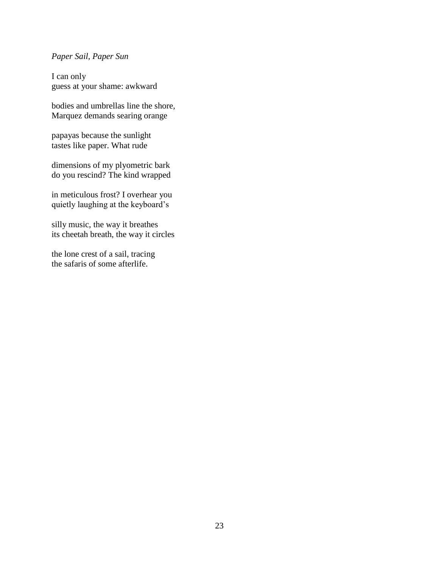# *Paper Sail, Paper Sun*

I can only guess at your shame: awkward

bodies and umbrellas line the shore, Marquez demands searing orange

papayas because the sunlight tastes like paper. What rude

dimensions of my plyometric bark do you rescind? The kind wrapped

in meticulous frost? I overhear you quietly laughing at the keyboard's

silly music, the way it breathes its cheetah breath, the way it circles

the lone crest of a sail, tracing the safaris of some afterlife.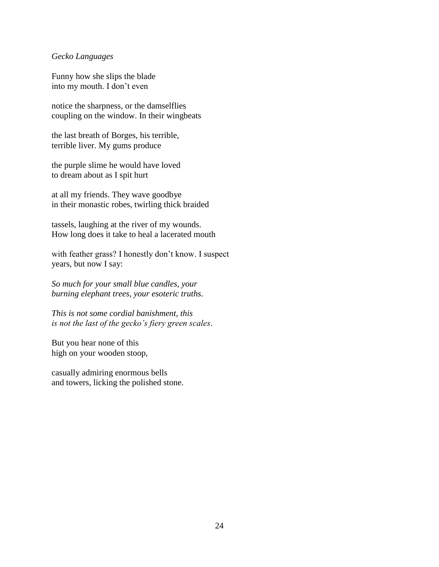#### *Gecko Languages*

Funny how she slips the blade into my mouth. I don't even

notice the sharpness, or the damselflies coupling on the window. In their wingbeats

the last breath of Borges, his terrible, terrible liver. My gums produce

the purple slime he would have loved to dream about as I spit hurt

at all my friends. They wave goodbye in their monastic robes, twirling thick braided

tassels, laughing at the river of my wounds. How long does it take to heal a lacerated mouth

with feather grass? I honestly don't know. I suspect years, but now I say:

*So much for your small blue candles, your burning elephant trees, your esoteric truths.*

*This is not some cordial banishment, this is not the last of the gecko's fiery green scales*.

But you hear none of this high on your wooden stoop,

casually admiring enormous bells and towers, licking the polished stone.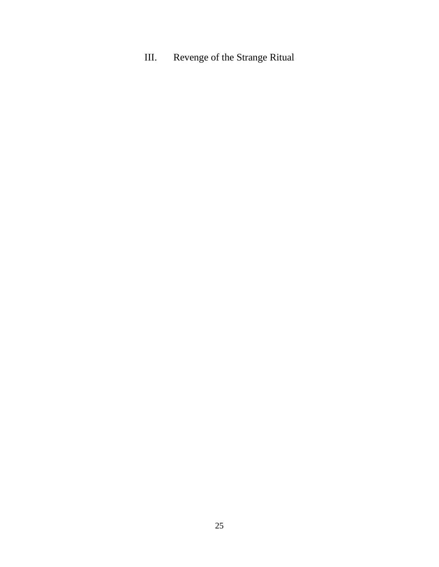III. Revenge of the Strange Ritual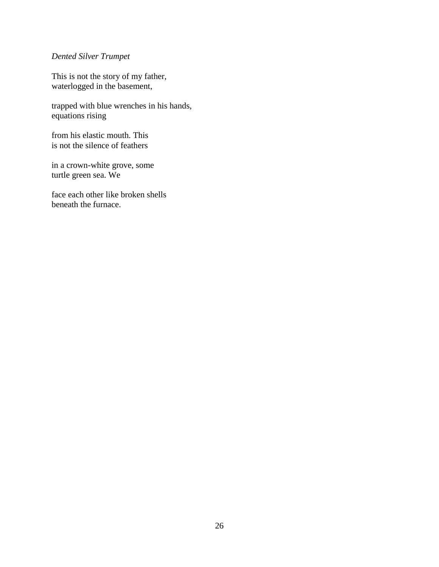# *Dented Silver Trumpet*

This is not the story of my father, waterlogged in the basement,

trapped with blue wrenches in his hands, equations rising

from his elastic mouth. This is not the silence of feathers

in a crown-white grove, some turtle green sea. We

face each other like broken shells beneath the furnace.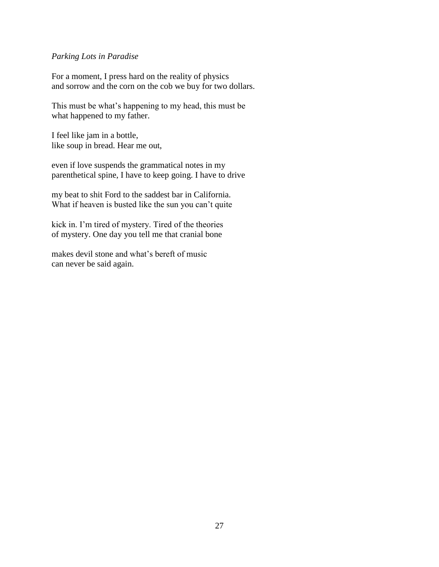## *Parking Lots in Paradise*

For a moment, I press hard on the reality of physics and sorrow and the corn on the cob we buy for two dollars.

This must be what's happening to my head, this must be what happened to my father.

I feel like jam in a bottle, like soup in bread. Hear me out,

even if love suspends the grammatical notes in my parenthetical spine, I have to keep going. I have to drive

my beat to shit Ford to the saddest bar in California. What if heaven is busted like the sun you can't quite

kick in. I'm tired of mystery. Tired of the theories of mystery. One day you tell me that cranial bone

makes devil stone and what's bereft of music can never be said again.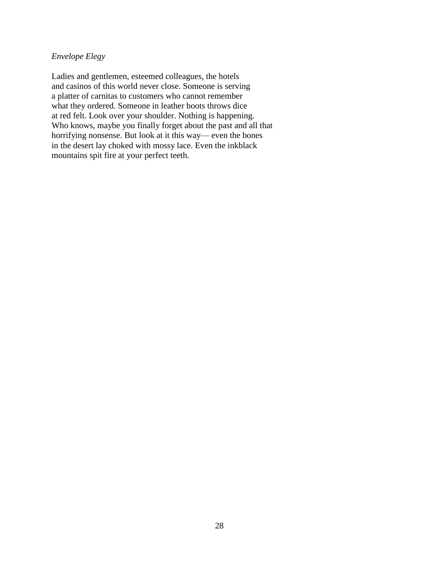# *Envelope Elegy*

Ladies and gentlemen, esteemed colleagues, the hotels and casinos of this world never close. Someone is serving a platter of carnitas to customers who cannot remember what they ordered. Someone in leather boots throws dice at red felt. Look over your shoulder. Nothing is happening. Who knows, maybe you finally forget about the past and all that horrifying nonsense. But look at it this way— even the bones in the desert lay choked with mossy lace. Even the inkblack mountains spit fire at your perfect teeth.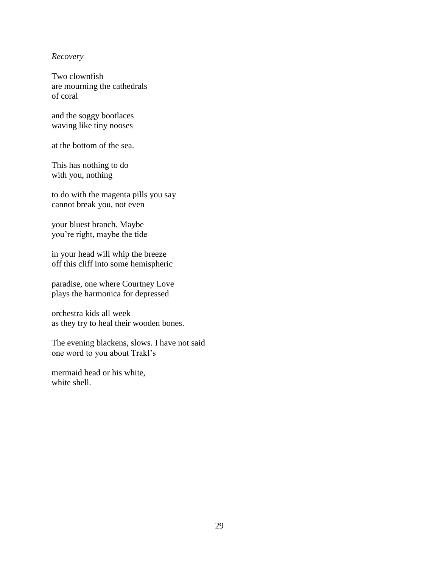#### *Recovery*

Two clownfish are mourning the cathedrals of coral

and the soggy bootlaces waving like tiny nooses

at the bottom of the sea.

This has nothing to do with you, nothing

to do with the magenta pills you say cannot break you, not even

your bluest branch. Maybe you're right, maybe the tide

in your head will whip the breeze off this cliff into some hemispheric

paradise, one where Courtney Love plays the harmonica for depressed

orchestra kids all week as they try to heal their wooden bones.

The evening blackens, slows. I have not said one word to you about Trakl's

mermaid head or his white, white shell.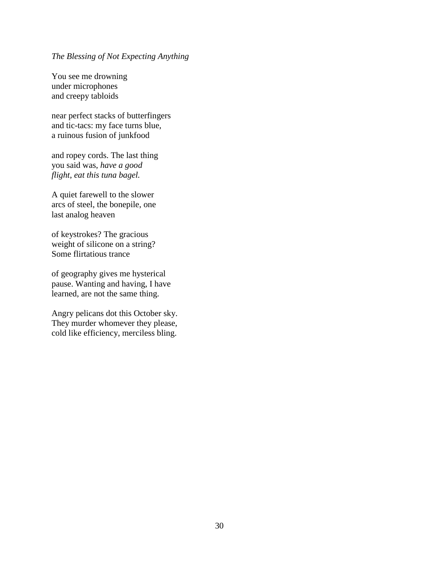# *The Blessing of Not Expecting Anything*

You see me drowning under microphones and creepy tabloids

near perfect stacks of butterfingers and tic-tacs: my face turns blue, a ruinous fusion of junkfood

and ropey cords. The last thing you said was, *have a good flight*, *eat this tuna bagel.*

A quiet farewell to the slower arcs of steel, the bonepile, one last analog heaven

of keystrokes? The gracious weight of silicone on a string? Some flirtatious trance

of geography gives me hysterical pause. Wanting and having, I have learned, are not the same thing.

Angry pelicans dot this October sky. They murder whomever they please, cold like efficiency, merciless bling.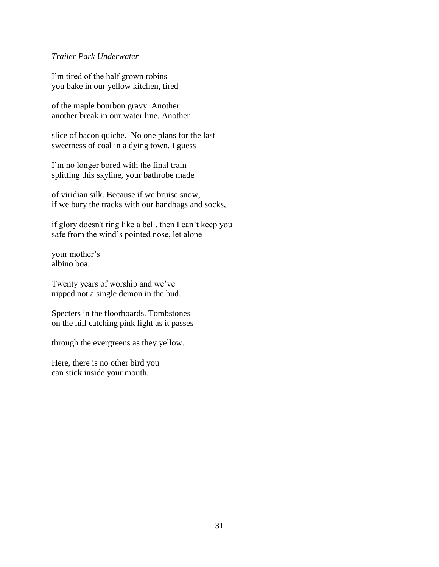# *Trailer Park Underwater*

I'm tired of the half grown robins you bake in our yellow kitchen, tired

of the maple bourbon gravy. Another another break in our water line. Another

slice of bacon quiche. No one plans for the last sweetness of coal in a dying town. I guess

I'm no longer bored with the final train splitting this skyline, your bathrobe made

of viridian silk. Because if we bruise snow, if we bury the tracks with our handbags and socks,

if glory doesn't ring like a bell, then I can't keep you safe from the wind's pointed nose, let alone

your mother's albino boa.

Twenty years of worship and we've nipped not a single demon in the bud.

Specters in the floorboards. Tombstones on the hill catching pink light as it passes

through the evergreens as they yellow.

Here, there is no other bird you can stick inside your mouth.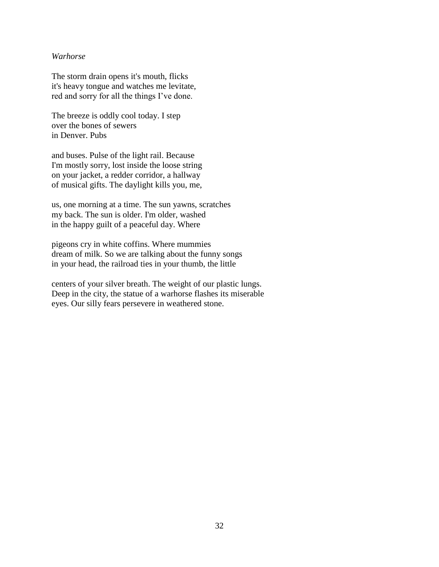## *Warhorse*

The storm drain opens it's mouth, flicks it's heavy tongue and watches me levitate, red and sorry for all the things I've done.

The breeze is oddly cool today. I step over the bones of sewers in Denver. Pubs

and buses. Pulse of the light rail. Because I'm mostly sorry, lost inside the loose string on your jacket, a redder corridor, a hallway of musical gifts. The daylight kills you, me,

us, one morning at a time. The sun yawns, scratches my back. The sun is older. I'm older, washed in the happy guilt of a peaceful day. Where

pigeons cry in white coffins. Where mummies dream of milk. So we are talking about the funny songs in your head, the railroad ties in your thumb, the little

centers of your silver breath. The weight of our plastic lungs. Deep in the city, the statue of a warhorse flashes its miserable eyes. Our silly fears persevere in weathered stone.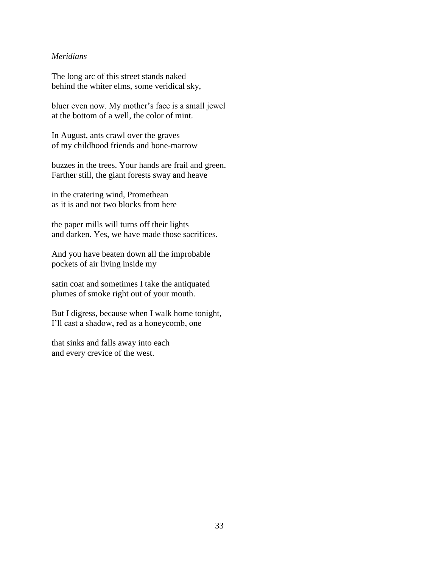# *Meridians*

The long arc of this street stands naked behind the whiter elms, some veridical sky,

bluer even now. My mother's face is a small jewel at the bottom of a well, the color of mint.

In August, ants crawl over the graves of my childhood friends and bone-marrow

buzzes in the trees. Your hands are frail and green. Farther still, the giant forests sway and heave

in the cratering wind, Promethean as it is and not two blocks from here

the paper mills will turns off their lights and darken. Yes, we have made those sacrifices.

And you have beaten down all the improbable pockets of air living inside my

satin coat and sometimes I take the antiquated plumes of smoke right out of your mouth.

But I digress, because when I walk home tonight, I'll cast a shadow, red as a honeycomb, one

that sinks and falls away into each and every crevice of the west.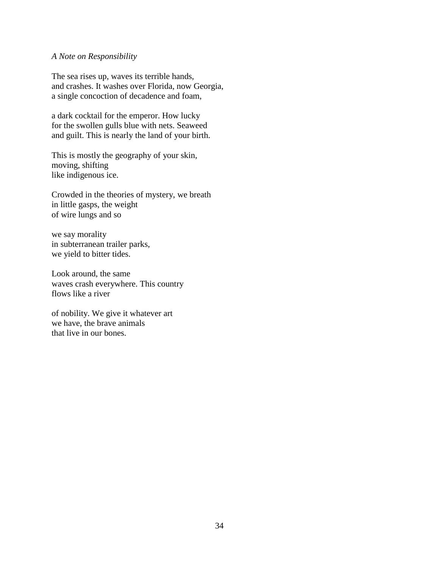#### *A Note on Responsibility*

The sea rises up, waves its terrible hands, and crashes. It washes over Florida, now Georgia, a single concoction of decadence and foam,

a dark cocktail for the emperor. How lucky for the swollen gulls blue with nets. Seaweed and guilt. This is nearly the land of your birth.

This is mostly the geography of your skin, moving, shifting like indigenous ice.

Crowded in the theories of mystery, we breath in little gasps, the weight of wire lungs and so

we say morality in subterranean trailer parks, we yield to bitter tides.

Look around, the same waves crash everywhere. This country flows like a river

of nobility. We give it whatever art we have, the brave animals that live in our bones.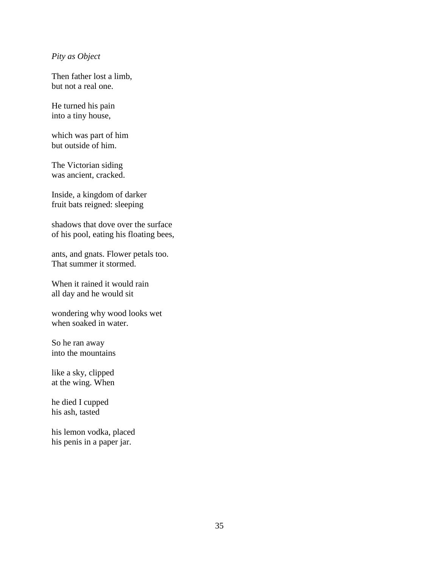# *Pity as Object*

Then father lost a limb, but not a real one.

He turned his pain into a tiny house,

which was part of him but outside of him.

The Victorian siding was ancient, cracked.

Inside, a kingdom of darker fruit bats reigned: sleeping

shadows that dove over the surface of his pool, eating his floating bees,

ants, and gnats. Flower petals too. That summer it stormed.

When it rained it would rain all day and he would sit

wondering why wood looks wet when soaked in water.

So he ran away into the mountains

like a sky, clipped at the wing. When

he died I cupped his ash, tasted

his lemon vodka, placed his penis in a paper jar.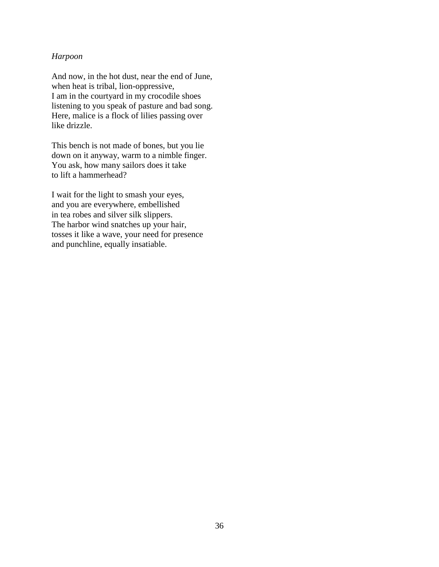## *Harpoon*

And now, in the hot dust, near the end of June, when heat is tribal, lion-oppressive, I am in the courtyard in my crocodile shoes listening to you speak of pasture and bad song. Here, malice is a flock of lilies passing over like drizzle.

This bench is not made of bones, but you lie down on it anyway, warm to a nimble finger. You ask, how many sailors does it take to lift a hammerhead?

I wait for the light to smash your eyes, and you are everywhere, embellished in tea robes and silver silk slippers. The harbor wind snatches up your hair, tosses it like a wave, your need for presence and punchline, equally insatiable.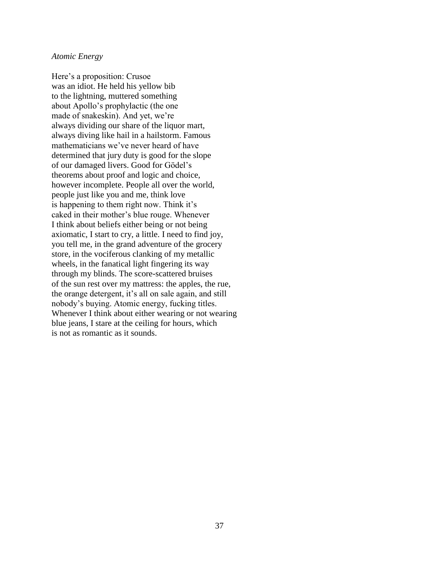#### *Atomic Energy*

Here's a proposition: Crusoe was an idiot. He held his yellow bib to the lightning, muttered something about Apollo's prophylactic (the one made of snakeskin). And yet, we're always dividing our share of the liquor mart, always diving like hail in a hailstorm. Famous mathematicians we've never heard of have determined that jury duty is good for the slope of our damaged livers. Good for Gödel's theorems about proof and logic and choice, however incomplete. People all over the world, people just like you and me, think love is happening to them right now. Think it's caked in their mother's blue rouge. Whenever I think about beliefs either being or not being axiomatic, I start to cry, a little. I need to find joy, you tell me, in the grand adventure of the grocery store, in the vociferous clanking of my metallic wheels, in the fanatical light fingering its way through my blinds. The score-scattered bruises of the sun rest over my mattress: the apples, the rue, the orange detergent, it's all on sale again, and still nobody's buying. Atomic energy, fucking titles. Whenever I think about either wearing or not wearing blue jeans, I stare at the ceiling for hours, which is not as romantic as it sounds.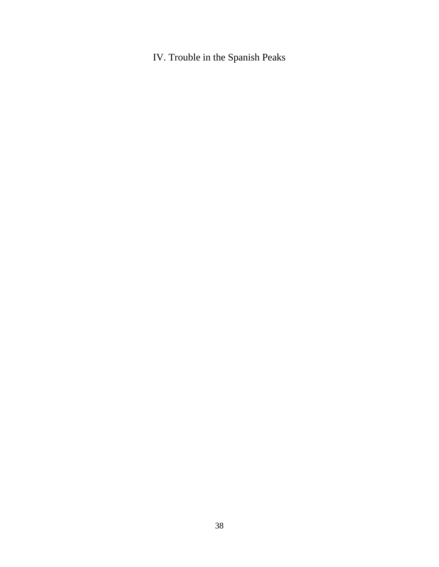IV. Trouble in the Spanish Peaks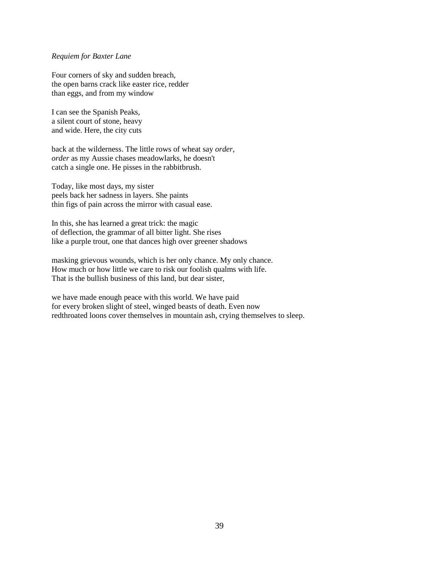#### *Requiem for Baxter Lane*

Four corners of sky and sudden breach, the open barns crack like easter rice, redder than eggs, and from my window

I can see the Spanish Peaks, a silent court of stone, heavy and wide. Here, the city cuts

back at the wilderness. The little rows of wheat say *order*, *order* as my Aussie chases meadowlarks, he doesn't catch a single one. He pisses in the rabbitbrush.

Today, like most days, my sister peels back her sadness in layers. She paints thin figs of pain across the mirror with casual ease.

In this, she has learned a great trick: the magic of deflection, the grammar of all bitter light. She rises like a purple trout, one that dances high over greener shadows

masking grievous wounds, which is her only chance. My only chance. How much or how little we care to risk our foolish qualms with life. That is the bullish business of this land, but dear sister,

we have made enough peace with this world. We have paid for every broken slight of steel, winged beasts of death. Even now redthroated loons cover themselves in mountain ash, crying themselves to sleep.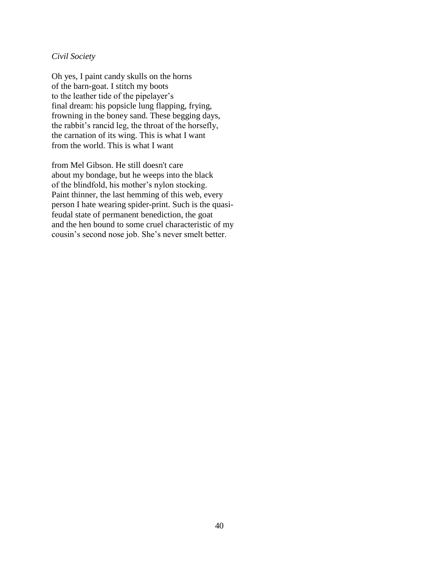# *Civil Society*

Oh yes, I paint candy skulls on the horns of the barn-goat. I stitch my boots to the leather tide of the pipelayer's final dream: his popsicle lung flapping, frying, frowning in the boney sand. These begging days, the rabbit's rancid leg, the throat of the horsefly, the carnation of its wing. This is what I want from the world. This is what I want

from Mel Gibson. He still doesn't care about my bondage, but he weeps into the black of the blindfold, his mother's nylon stocking. Paint thinner, the last hemming of this web, every person I hate wearing spider-print. Such is the quasifeudal state of permanent benediction, the goat and the hen bound to some cruel characteristic of my cousin's second nose job. She's never smelt better.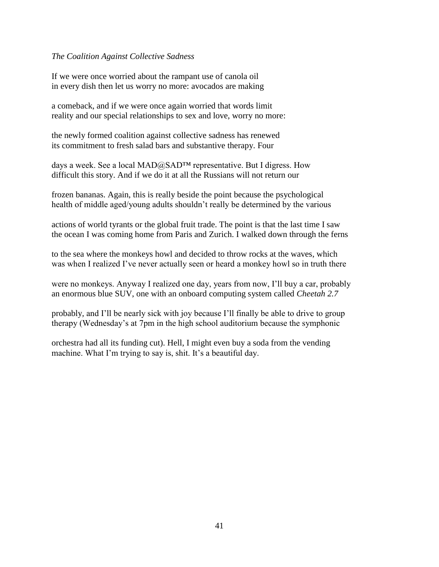# *The Coalition Against Collective Sadness*

If we were once worried about the rampant use of canola oil in every dish then let us worry no more: avocados are making

a comeback, and if we were once again worried that words limit reality and our special relationships to sex and love, worry no more:

the newly formed coalition against collective sadness has renewed its commitment to fresh salad bars and substantive therapy. Four

days a week. See a local MAD@SAD™ representative. But I digress. How difficult this story. And if we do it at all the Russians will not return our

frozen bananas. Again, this is really beside the point because the psychological health of middle aged/young adults shouldn't really be determined by the various

actions of world tyrants or the global fruit trade. The point is that the last time I saw the ocean I was coming home from Paris and Zurich. I walked down through the ferns

to the sea where the monkeys howl and decided to throw rocks at the waves, which was when I realized I've never actually seen or heard a monkey howl so in truth there

were no monkeys. Anyway I realized one day, years from now, I'll buy a car, probably an enormous blue SUV, one with an onboard computing system called *Cheetah 2.7* 

probably*,* and I'll be nearly sick with joy because I'll finally be able to drive to group therapy (Wednesday's at 7pm in the high school auditorium because the symphonic

orchestra had all its funding cut). Hell, I might even buy a soda from the vending machine. What I'm trying to say is, shit. It's a beautiful day.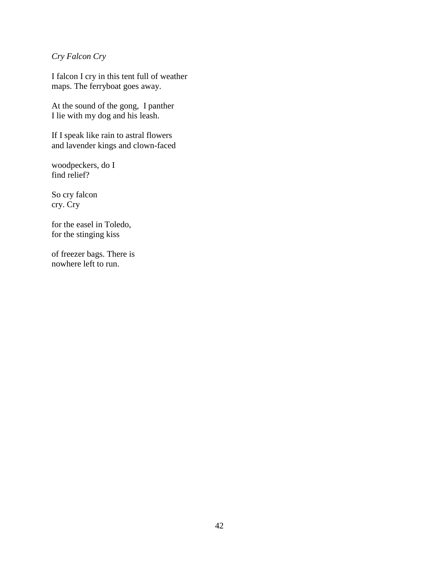# *Cry Falcon Cry*

I falcon I cry in this tent full of weather maps. The ferryboat goes away.

At the sound of the gong, I panther I lie with my dog and his leash.

If I speak like rain to astral flowers and lavender kings and clown-faced

woodpeckers, do I find relief?

So cry falcon cry. Cry

for the easel in Toledo, for the stinging kiss

of freezer bags. There is nowhere left to run.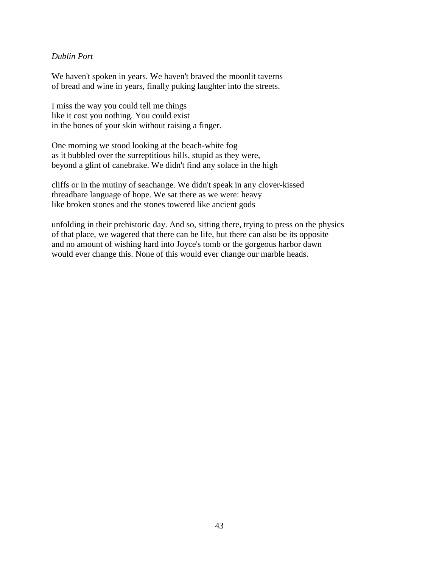# *Dublin Port*

We haven't spoken in years. We haven't braved the moonlit taverns of bread and wine in years, finally puking laughter into the streets.

I miss the way you could tell me things like it cost you nothing. You could exist in the bones of your skin without raising a finger.

One morning we stood looking at the beach-white fog as it bubbled over the surreptitious hills, stupid as they were, beyond a glint of canebrake. We didn't find any solace in the high

cliffs or in the mutiny of seachange. We didn't speak in any clover-kissed threadbare language of hope. We sat there as we were: heavy like broken stones and the stones towered like ancient gods

unfolding in their prehistoric day. And so, sitting there, trying to press on the physics of that place, we wagered that there can be life, but there can also be its opposite and no amount of wishing hard into Joyce's tomb or the gorgeous harbor dawn would ever change this. None of this would ever change our marble heads.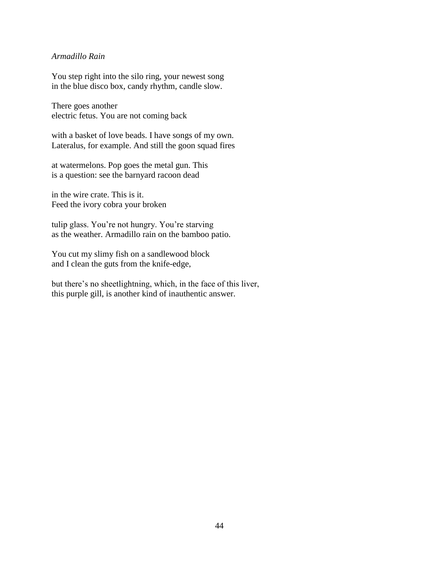# *Armadillo Rain*

You step right into the silo ring, your newest song in the blue disco box, candy rhythm, candle slow.

There goes another electric fetus. You are not coming back

with a basket of love beads. I have songs of my own. Lateralus, for example. And still the goon squad fires

at watermelons. Pop goes the metal gun. This is a question: see the barnyard racoon dead

in the wire crate. This is it. Feed the ivory cobra your broken

tulip glass. You're not hungry. You're starving as the weather. Armadillo rain on the bamboo patio.

You cut my slimy fish on a sandlewood block and I clean the guts from the knife-edge,

but there's no sheetlightning, which, in the face of this liver, this purple gill, is another kind of inauthentic answer.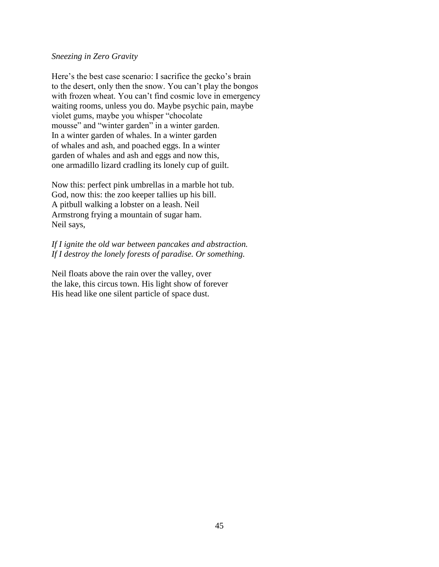# *Sneezing in Zero Gravity*

Here's the best case scenario: I sacrifice the gecko's brain to the desert, only then the snow. You can't play the bongos with frozen wheat. You can't find cosmic love in emergency waiting rooms, unless you do. Maybe psychic pain, maybe violet gums, maybe you whisper "chocolate mousse" and "winter garden" in a winter garden. In a winter garden of whales. In a winter garden of whales and ash, and poached eggs. In a winter garden of whales and ash and eggs and now this, one armadillo lizard cradling its lonely cup of guilt.

Now this: perfect pink umbrellas in a marble hot tub. God, now this: the zoo keeper tallies up his bill. A pitbull walking a lobster on a leash. Neil Armstrong frying a mountain of sugar ham. Neil says,

*If I ignite the old war between pancakes and abstraction. If I destroy the lonely forests of paradise. Or something.* 

Neil floats above the rain over the valley, over the lake, this circus town. His light show of forever His head like one silent particle of space dust.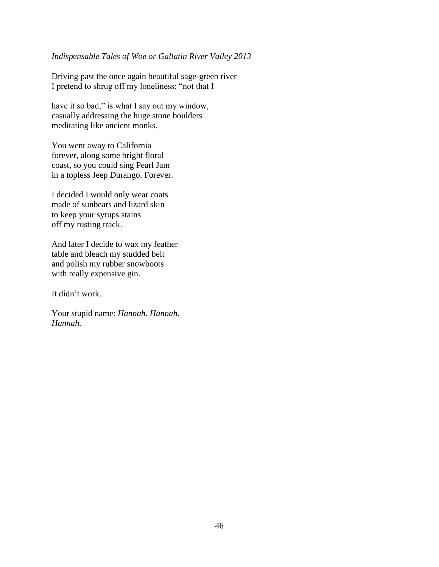# *Indispensable Tales of Woe or Gallatin River Valley 2013*

Driving past the once again beautiful sage-green river I pretend to shrug off my loneliness: "not that I

have it so bad," is what I say out my window, casually addressing the huge stone boulders meditating like ancient monks.

You went away to California forever, along some bright floral coast, so you could sing Pearl Jam in a topless Jeep Durango. Forever.

I decided I would only wear coats made of sunbears and lizard skin to keep your syrups stains off my rusting track.

And later I decide to wax my feather table and bleach my studded belt and polish my rubber snowboots with really expensive gin.

It didn't work.

Your stupid name: *Hannah. Hannah*. *Hannah.*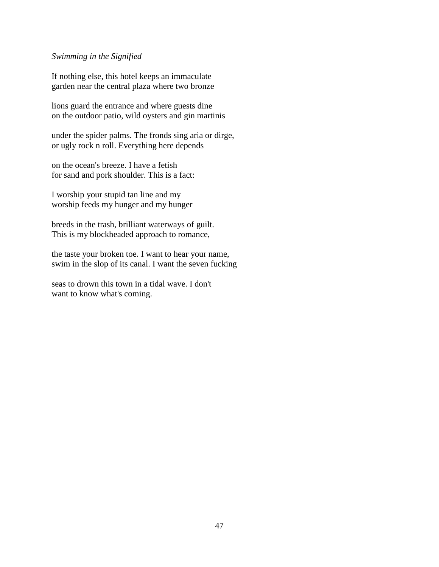#### *Swimming in the Signified*

If nothing else, this hotel keeps an immaculate garden near the central plaza where two bronze

lions guard the entrance and where guests dine on the outdoor patio, wild oysters and gin martinis

under the spider palms. The fronds sing aria or dirge, or ugly rock n roll. Everything here depends

on the ocean's breeze. I have a fetish for sand and pork shoulder. This is a fact:

I worship your stupid tan line and my worship feeds my hunger and my hunger

breeds in the trash, brilliant waterways of guilt. This is my blockheaded approach to romance,

the taste your broken toe. I want to hear your name, swim in the slop of its canal. I want the seven fucking

seas to drown this town in a tidal wave. I don't want to know what's coming.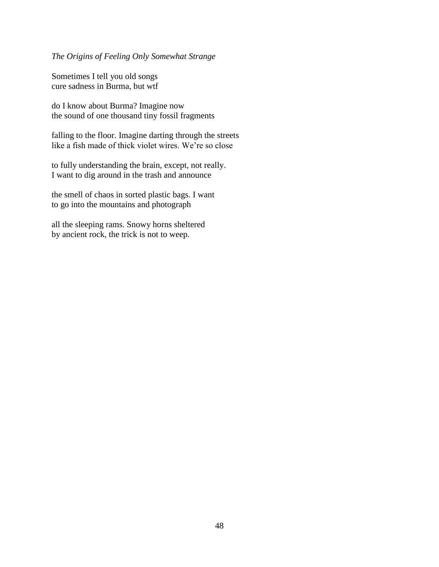*The Origins of Feeling Only Somewhat Strange*

Sometimes I tell you old songs cure sadness in Burma, but wtf

do I know about Burma? Imagine now the sound of one thousand tiny fossil fragments

falling to the floor. Imagine darting through the streets like a fish made of thick violet wires. We're so close

to fully understanding the brain, except, not really. I want to dig around in the trash and announce

the smell of chaos in sorted plastic bags. I want to go into the mountains and photograph

all the sleeping rams. Snowy horns sheltered by ancient rock, the trick is not to weep.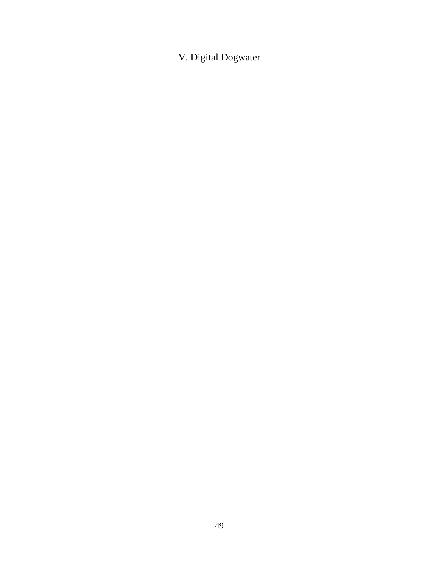V. Digital Dogwater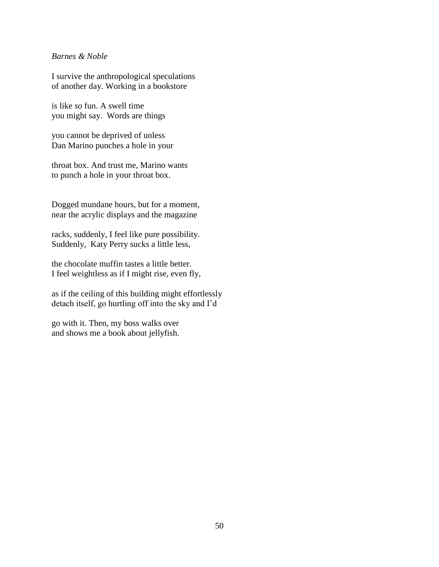# *Barnes & Noble*

I survive the anthropological speculations of another day. Working in a bookstore

is like *so* fun. A swell time you might say. Words are things

you cannot be deprived of unless Dan Marino punches a hole in your

throat box. And trust me, Marino wants to punch a hole in your throat box.

Dogged mundane hours, but for a moment, near the acrylic displays and the magazine

racks, suddenly, I feel like pure possibility. Suddenly, Katy Perry sucks a little less,

the chocolate muffin tastes a little better. I feel weightless as if I might rise, even fly,

as if the ceiling of this building might effortlessly detach itself, go hurtling off into the sky and I'd

go with it. Then, my boss walks over and shows me a book about jellyfish.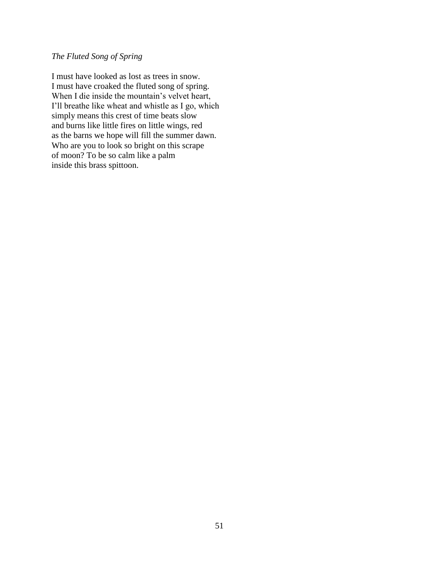# *The Fluted Song of Spring*

I must have looked as lost as trees in snow. I must have croaked the fluted song of spring. When I die inside the mountain's velvet heart, I'll breathe like wheat and whistle as I go, which simply means this crest of time beats slow and burns like little fires on little wings, red as the barns we hope will fill the summer dawn. Who are you to look so bright on this scrape of moon? To be so calm like a palm inside this brass spittoon.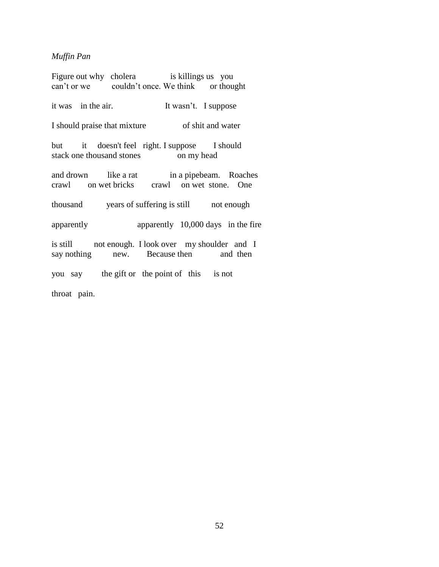# *Muffin Pan*

Figure out why cholera is killings us you can't or we couldn't once. We think or thought

it was in the air. It wasn't. I suppose

I should praise that mixture of shit and water

but it doesn't feel right. I suppose I should stack one thousand stones on my head

and drown like a rat in a pipebeam. Roaches crawl on wet bricks crawl on wet stone. One

thousand years of suffering is still not enough

apparently apparently 10,000 days in the fire

is still not enough. I look over my shoulder and I say nothing new. Because then and then

you say the gift or the point of this is not

throat pain.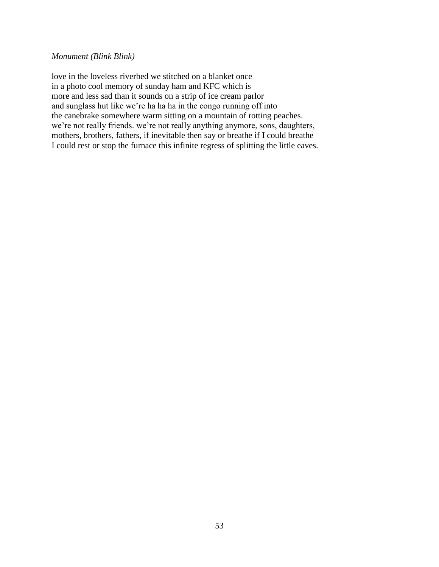# *Monument (Blink Blink)*

love in the loveless riverbed we stitched on a blanket once in a photo cool memory of sunday ham and KFC which is more and less sad than it sounds on a strip of ice cream parlor and sunglass hut like we're ha ha ha in the congo running off into the canebrake somewhere warm sitting on a mountain of rotting peaches. we're not really friends. we're not really anything anymore, sons, daughters, mothers, brothers, fathers, if inevitable then say or breathe if I could breathe I could rest or stop the furnace this infinite regress of splitting the little eaves.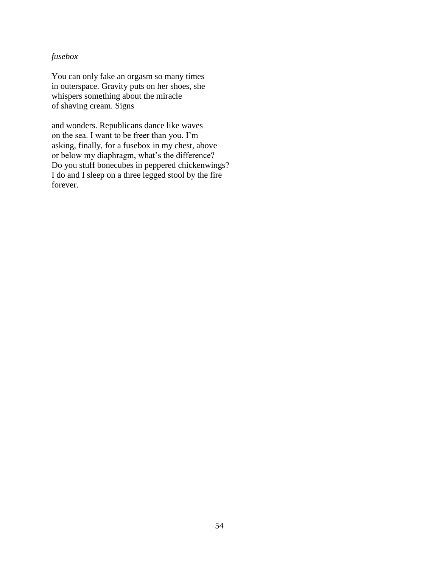# *fusebox*

You can only fake an orgasm so many times in outerspace. Gravity puts on her shoes, she whispers something about the miracle of shaving cream. Signs

and wonders. Republicans dance like waves on the sea. I want to be freer than you. I'm asking, finally, for a fusebox in my chest, above or below my diaphragm, what's the difference? Do you stuff bonecubes in peppered chickenwings? I do and I sleep on a three legged stool by the fire forever.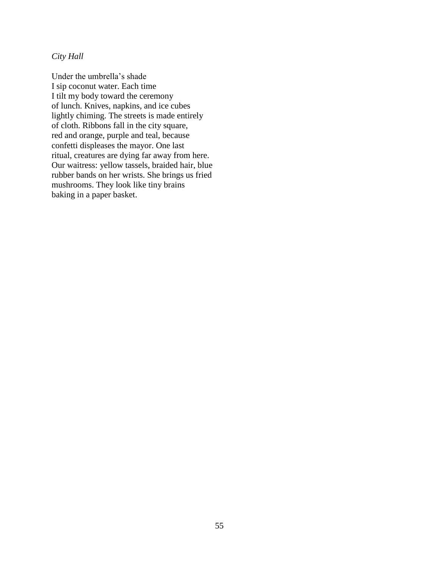*City Hall*

Under the umbrella's shade I sip coconut water. Each time I tilt my body toward the ceremony of lunch. Knives, napkins, and ice cubes lightly chiming. The streets is made entirely of cloth. Ribbons fall in the city square, red and orange, purple and teal, because confetti displeases the mayor. One last ritual, creatures are dying far away from here. Our waitress: yellow tassels, braided hair, blue rubber bands on her wrists. She brings us fried mushrooms. They look like tiny brains baking in a paper basket.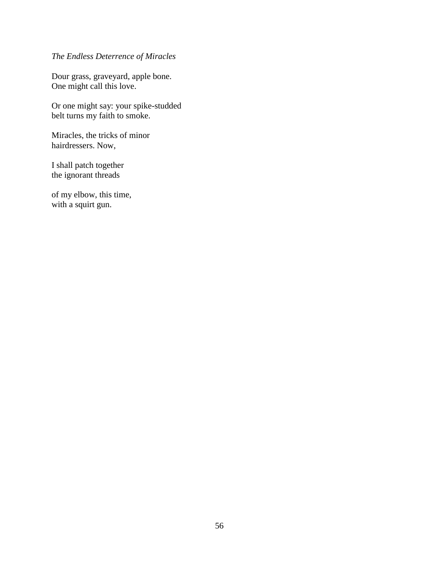# *The Endless Deterrence of Miracles*

Dour grass, graveyard, apple bone. One might call this love.

Or one might say: your spike-studded belt turns my faith to smoke.

Miracles, the tricks of minor hairdressers. Now,

I shall patch together the ignorant threads

of my elbow, this time, with a squirt gun.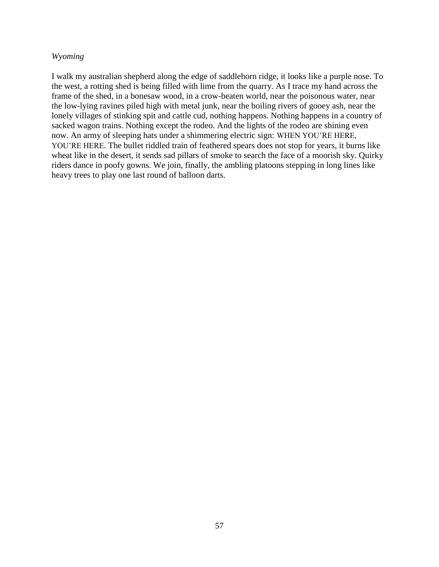## *Wyoming*

I walk my australian shepherd along the edge of saddlehorn ridge, it looks like a purple nose. To the west, a rotting shed is being filled with lime from the quarry. As I trace my hand across the frame of the shed, in a bonesaw wood, in a crow-beaten world, near the poisonous water, near the low-lying ravines piled high with metal junk, near the boiling rivers of gooey ash, near the lonely villages of stinking spit and cattle cud, nothing happens. Nothing happens in a country of sacked wagon trains. Nothing except the rodeo. And the lights of the rodeo are shining even now. An army of sleeping hats under a shimmering electric sign: WHEN YOU'RE HERE, YOU'RE HERE. The bullet riddled train of feathered spears does not stop for years, it burns like wheat like in the desert, it sends sad pillars of smoke to search the face of a moorish sky. Quirky riders dance in poofy gowns. We join, finally, the ambling platoons stepping in long lines like heavy trees to play one last round of balloon darts.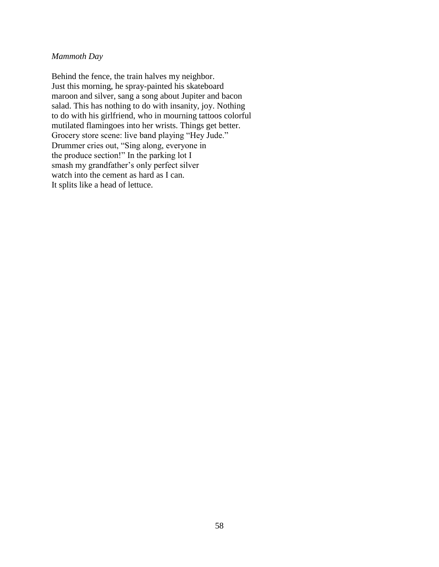# *Mammoth Day*

Behind the fence, the train halves my neighbor. Just this morning, he spray-painted his skateboard maroon and silver, sang a song about Jupiter and bacon salad. This has nothing to do with insanity, joy. Nothing to do with his girlfriend, who in mourning tattoos colorful mutilated flamingoes into her wrists. Things get better. Grocery store scene: live band playing "Hey Jude." Drummer cries out, "Sing along, everyone in the produce section!" In the parking lot I smash my grandfather's only perfect silver watch into the cement as hard as I can. It splits like a head of lettuce.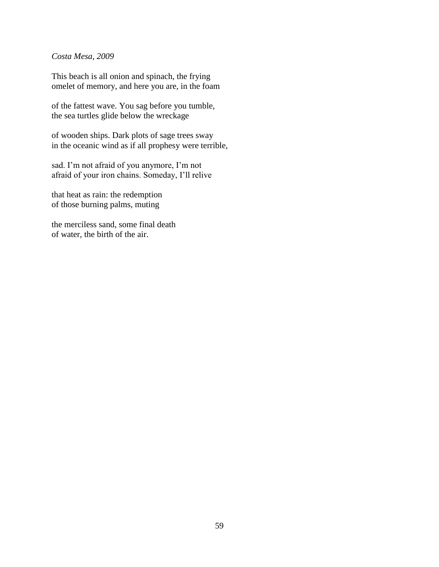## *Costa Mesa, 2009*

This beach is all onion and spinach, the frying omelet of memory, and here you are, in the foam

of the fattest wave. You sag before you tumble, the sea turtles glide below the wreckage

of wooden ships. Dark plots of sage trees sway in the oceanic wind as if all prophesy were terrible,

sad. I'm not afraid of you anymore, I'm not afraid of your iron chains. Someday, I'll relive

that heat as rain: the redemption of those burning palms, muting

the merciless sand, some final death of water, the birth of the air.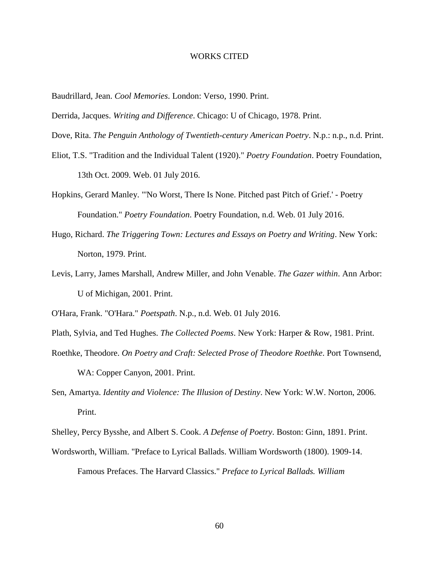#### WORKS CITED

Baudrillard, Jean. *Cool Memories*. London: Verso, 1990. Print.

- Derrida, Jacques. *Writing and Difference*. Chicago: U of Chicago, 1978. Print.
- Dove, Rita. *The Penguin Anthology of Twentieth-century American Poetry*. N.p.: n.p., n.d. Print.
- Eliot, T.S. "Tradition and the Individual Talent (1920)." *Poetry Foundation*. Poetry Foundation, 13th Oct. 2009. Web. 01 July 2016.
- Hopkins, Gerard Manley. "'No Worst, There Is None. Pitched past Pitch of Grief.' Poetry Foundation." *Poetry Foundation*. Poetry Foundation, n.d. Web. 01 July 2016.
- Hugo, Richard. *The Triggering Town: Lectures and Essays on Poetry and Writing*. New York: Norton, 1979. Print.
- Levis, Larry, James Marshall, Andrew Miller, and John Venable. *The Gazer within*. Ann Arbor: U of Michigan, 2001. Print.

O'Hara, Frank. "O'Hara." *Poetspath*. N.p., n.d. Web. 01 July 2016.

- Plath, Sylvia, and Ted Hughes. *The Collected Poems*. New York: Harper & Row, 1981. Print.
- Roethke, Theodore. *On Poetry and Craft: Selected Prose of Theodore Roethke*. Port Townsend, WA: Copper Canyon, 2001. Print.
- Sen, Amartya. *Identity and Violence: The Illusion of Destiny*. New York: W.W. Norton, 2006. Print.

Shelley, Percy Bysshe, and Albert S. Cook. *A Defense of Poetry*. Boston: Ginn, 1891. Print.

Wordsworth, William. "Preface to Lyrical Ballads. William Wordsworth (1800). 1909-14. Famous Prefaces. The Harvard Classics." *Preface to Lyrical Ballads. William*